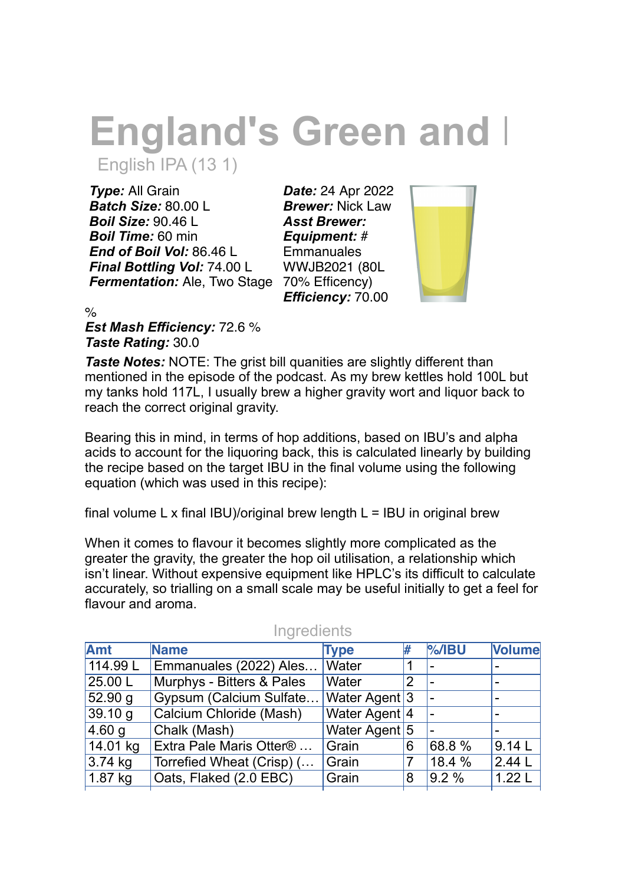# **England's Green and I** English IPA (13 1)

*Type:* All Grain *Batch Size:* 80.00 L *Boil Size:* 90.46 L *Boil Time:* 60 min *End of Boil Vol:* 86.46 L *Final Bottling Vol:* 74.00 L *Fermentation:* Ale, Two Stage 70% Efficency)

*Date:* 24 Apr 2022 *Brewer:* Nick Law *Asst Brewer: Equipment:* # **Emmanuales** WWJB2021 (80L *Efficiency:* 70.00



%

*Est Mash Efficiency:* 72.6 % *Taste Rating:* 30.0

*Taste Notes:* NOTE: The grist bill quanities are slightly different than mentioned in the episode of the podcast. As my brew kettles hold 100L but my tanks hold 117L, I usually brew a higher gravity wort and liquor back to reach the correct original gravity.

Bearing this in mind, in terms of hop additions, based on IBU's and alpha acids to account for the liquoring back, this is calculated linearly by building the recipe based on the target IBU in the final volume using the following equation (which was used in this recipe):

final volume L x final IBU)/original brew length  $L = IBU$  in original brew

When it comes to flavour it becomes slightly more complicated as the greater the gravity, the greater the hop oil utilisation, a relationship which isn't linear. Without expensive equipment like HPLC's its difficult to calculate accurately, so trialling on a small scale may be useful initially to get a feel for flavour and aroma.

| <b>Name</b>                         | <b>Type</b>               |                                         |                                                                 | <b>Volume</b>    |
|-------------------------------------|---------------------------|-----------------------------------------|-----------------------------------------------------------------|------------------|
| Emmanuales (2022) Ales              |                           |                                         |                                                                 |                  |
|                                     | Water                     | 2                                       |                                                                 |                  |
|                                     |                           |                                         |                                                                 |                  |
| Calcium Chloride (Mash)             |                           |                                         |                                                                 |                  |
| Chalk (Mash)                        |                           |                                         |                                                                 |                  |
| Extra Pale Maris Otter <sup>®</sup> | Grain                     | 6                                       | 68.8 %                                                          | 9.14L            |
| Torrefied Wheat (Crisp) (           | Grain                     |                                         | 18.4 %                                                          | 2.44L            |
| Oats, Flaked (2.0 EBC)              | Grain                     | 8                                       |                                                                 | 1.22L            |
|                                     | Murphys - Bitters & Pales | <b>Water</b><br>Gypsum (Calcium Sulfate | ₩<br>Water Agent <sup>3</sup><br>Water Agent 4<br>Water Agent 5 | $%$ /IBU<br>9.2% |

## **Ingredients**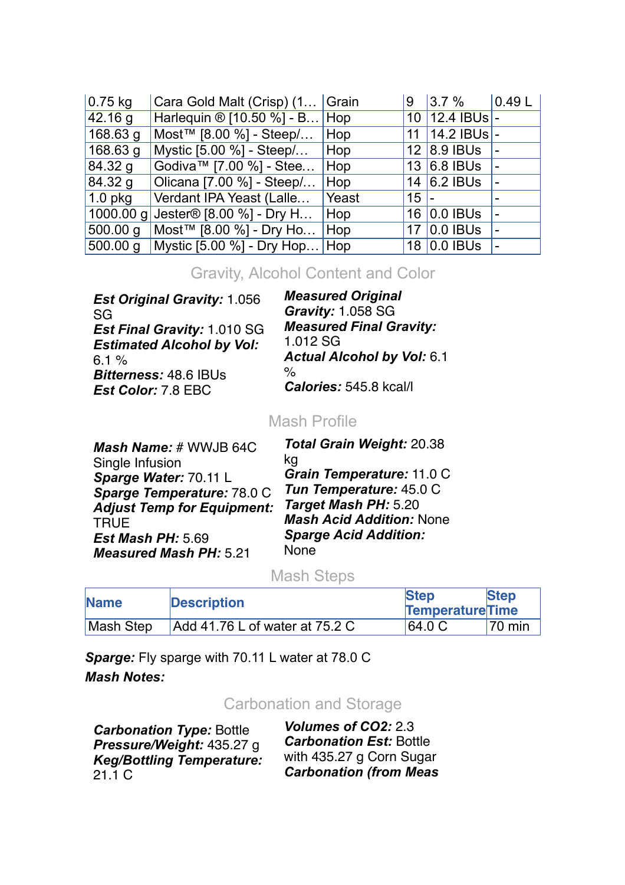| $0.75$ kg  | Cara Gold Malt (Crisp) (1 Grain                           |       | 9        | 3.7%               | $\vert$ 0.49 $\vert$ L |
|------------|-----------------------------------------------------------|-------|----------|--------------------|------------------------|
| 42.16 g    | Harlequin $\otimes$ [10.50 %] - B Hop                     |       |          | 10 12.4 IBUs -     |                        |
| $168.63$ g | Most™ [8.00 %] - Steep/                                   | Hop   |          | 11   14.2 IBUs   - |                        |
| $168.63$ g | Mystic [5.00 %] - Steep/                                  | Hop   |          | 12 8.9 BUs         |                        |
| 84.32 g    | Godiva™ [7.00 %] - Stee                                   | Hop   |          | 13 6.8 BUs         |                        |
| 84.32 g    | Olicana [7.00 %] - Steep /                                | Hop   |          | 14 $6.2$ IBUs      |                        |
| $1.0$ pkg  | Verdant IPA Yeast (Lalle                                  | Yeast | $115$ ]- |                    |                        |
|            | 1000.00 g Jester <sup>®</sup> [8.00 %] - Dry H            | Hop   |          | 16 0.0 IBUs        |                        |
|            | $\overline{500.00 g}$ Most <sup>™</sup> [8.00 %] - Dry Ho | Hop   |          | 17 0.0 IBUs        |                        |
|            | 500.00 g   Mystic [5.00 %] - Dry Hop                      | Hop   |          | 18 0.0 IBUs        |                        |

### Gravity, Alcohol Content and Color

*Est Original Gravity:* 1.056 SG *Est Final Gravity:* 1.010 SG *Estimated Alcohol by Vol:*  $6.1 \%$ *Bitterness:* 48.6 IBUs *Est Color:* 7.8 EBC

*Measured Original Gravity:* 1.058 SG *Measured Final Gravity:* 1.012 SG *Actual Alcohol by Vol:* 6.1 % *Calories:* 545.8 kcal/l

### Mash Profile

*Mash Name:* # WWJB 64C Single Infusion *Sparge Water:* 70.11 L *Sparge Temperature:* 78.0 C *Adjust Temp for Equipment:* **TRUF** *Est Mash PH:* 5.69 *Measured Mash PH:* 5.21

*Total Grain Weight:* 20.38 kg *Grain Temperature:* 11.0 C *Tun Temperature:* 45.0 C *Target Mash PH:* 5.20 *Mash Acid Addition:* None *Sparge Acid Addition:* None

#### Mash Steps

| <b>Name</b> | <b>Description</b>             | <b>Step</b><br><b>Temperature</b> Time | <b>Step</b> |
|-------------|--------------------------------|----------------------------------------|-------------|
| Mash Step   | Add 41.76 L of water at 75.2 C | 64.0 C                                 | 70 min      |

*Sparge:* Fly sparge with 70.11 L water at 78.0 C *Mash Notes:*

#### Carbonation and Storage

*Carbonation Type:* Bottle *Pressure/Weight:* 435.27 g *Keg/Bottling Temperature:* 21.1 C

*Volumes of CO2:* 2.3 *Carbonation Est:* Bottle with 435.27 g Corn Sugar *Carbonation (from Meas*